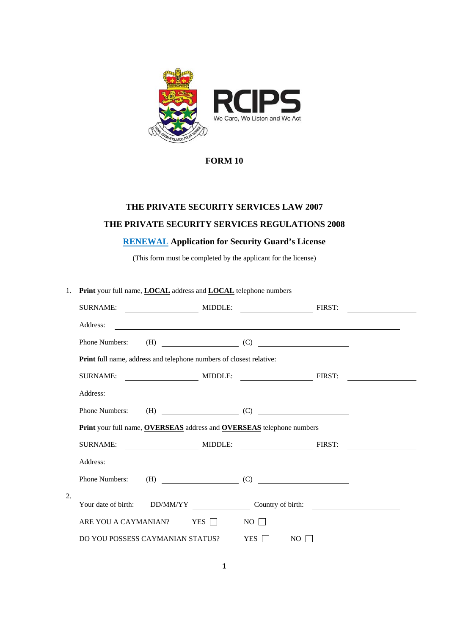

## **THE PRIVATE SECURITY SERVICES LAW 2007**

# **THE PRIVATE SECURITY SERVICES REGULATIONS 2008**

# **RENEWAL Application for Security Guard's License**

(This form must be completed by the applicant for the license)

| 1. | Print your full name, <b>LOCAL</b> address and <b>LOCAL</b> telephone numbers |                                                                                                                                                                                                                                      |  |  |
|----|-------------------------------------------------------------------------------|--------------------------------------------------------------------------------------------------------------------------------------------------------------------------------------------------------------------------------------|--|--|
|    |                                                                               |                                                                                                                                                                                                                                      |  |  |
|    | Address:                                                                      |                                                                                                                                                                                                                                      |  |  |
|    | Phone Numbers:                                                                |                                                                                                                                                                                                                                      |  |  |
|    | Print full name, address and telephone numbers of closest relative:           |                                                                                                                                                                                                                                      |  |  |
|    |                                                                               | <u> 1980 - Jan Barat, prima politik (</u>                                                                                                                                                                                            |  |  |
|    | Address:                                                                      | <u>and the state of the state of the state of the state of the state of the state of the state of the state of the state of the state of the state of the state of the state of the state of the state of the state of the state</u> |  |  |
|    | Phone Numbers: $(H)$ (C)                                                      |                                                                                                                                                                                                                                      |  |  |
|    | Print your full name, OVERSEAS address and OVERSEAS telephone numbers         |                                                                                                                                                                                                                                      |  |  |
|    | <b>SURNAME:</b>                                                               |                                                                                                                                                                                                                                      |  |  |
|    | Address:                                                                      | <u>and the state of the state of the state of the state of the state of the state of the state of the state of th</u>                                                                                                                |  |  |
|    | Phone Numbers: $(H)$ (E) (C)                                                  |                                                                                                                                                                                                                                      |  |  |
| 2. | Your date of birth: DD/MM/YY                                                  |                                                                                                                                                                                                                                      |  |  |
|    |                                                                               | Country of birth:                                                                                                                                                                                                                    |  |  |
|    | ARE YOU A CAYMANIAN? YES $\Box$<br>DO YOU POSSESS CAYMANIAN STATUS?           | $NO$ $\Box$<br>YES    <br>$NO$                                                                                                                                                                                                       |  |  |
|    |                                                                               |                                                                                                                                                                                                                                      |  |  |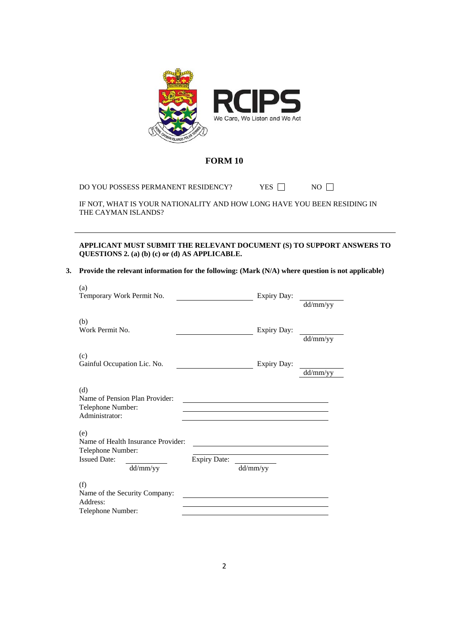

DO YOU POSSESS PERMANENT RESIDENCY? YES  $\Box$  NO  $\Box$ 

IF NOT, WHAT IS YOUR NATIONALITY AND HOW LONG HAVE YOU BEEN RESIDING IN THE CAYMAN ISLANDS?

**APPLICANT MUST SUBMIT THE RELEVANT DOCUMENT (S) TO SUPPORT ANSWERS TO QUESTIONS 2. (a) (b) (c) or (d) AS APPLICABLE.** 

**3. Provide the relevant information for the following: (Mark (N/A) where question is not applicable)** 

| (a)<br>Temporary Work Permit No.                                                                  |                     | Expiry Day:        | dd/mm/yy |
|---------------------------------------------------------------------------------------------------|---------------------|--------------------|----------|
| (b)<br>Work Permit No.                                                                            |                     | <b>Expiry Day:</b> | dd/mm/yy |
| (c)<br>Gainful Occupation Lic. No.                                                                |                     | Expiry Day:        | dd/mm/yy |
| (d)<br>Name of Pension Plan Provider:<br>Telephone Number:<br>Administrator:                      |                     |                    |          |
| (e)<br>Name of Health Insurance Provider:<br>Telephone Number:<br><b>Issued Date:</b><br>dd/mm/yy | <b>Expiry Date:</b> | dd/mm/yy           |          |
| (f)<br>Name of the Security Company:<br>Address:<br>Telephone Number:                             |                     |                    |          |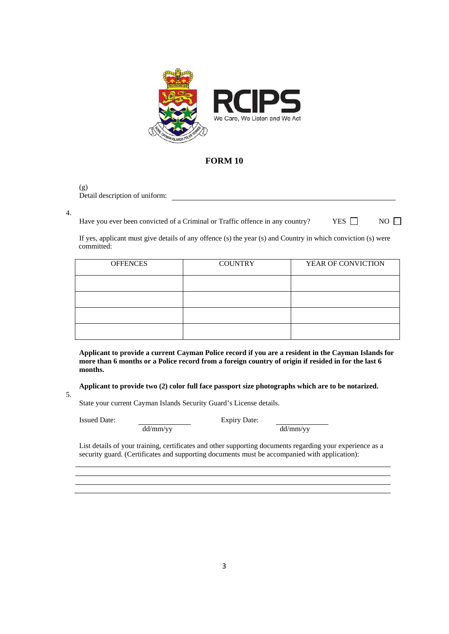

(g) Detail description of uniform:

4.

Have you ever been convicted of a Criminal or Traffic offence in any country? YES  $\Box$  NO  $\Box$ 

If yes, applicant must give details of any offence (s) the year (s) and Country in which conviction (s) were committed:

| <b>OFFENCES</b> | <b>COUNTRY</b> | YEAR OF CONVICTION |
|-----------------|----------------|--------------------|
|                 |                |                    |
|                 |                |                    |
|                 |                |                    |
|                 |                |                    |

**Applicant to provide a current Cayman Police record if you are a resident in the Cayman Islands for more than 6 months or a Police record from a foreign country of origin if resided in for the last 6 months.** 

**Applicant to provide two (2) color full face passport size photographs which are to be notarized.** 

State your current Cayman Islands Security Guard's License details.

5.

Issued Date: Expiry Date:

dd/mm/yy dd/mm/yy

List details of your training, certificates and other supporting documents regarding your experience as a security guard. (Certificates and supporting documents must be accompanied with application):